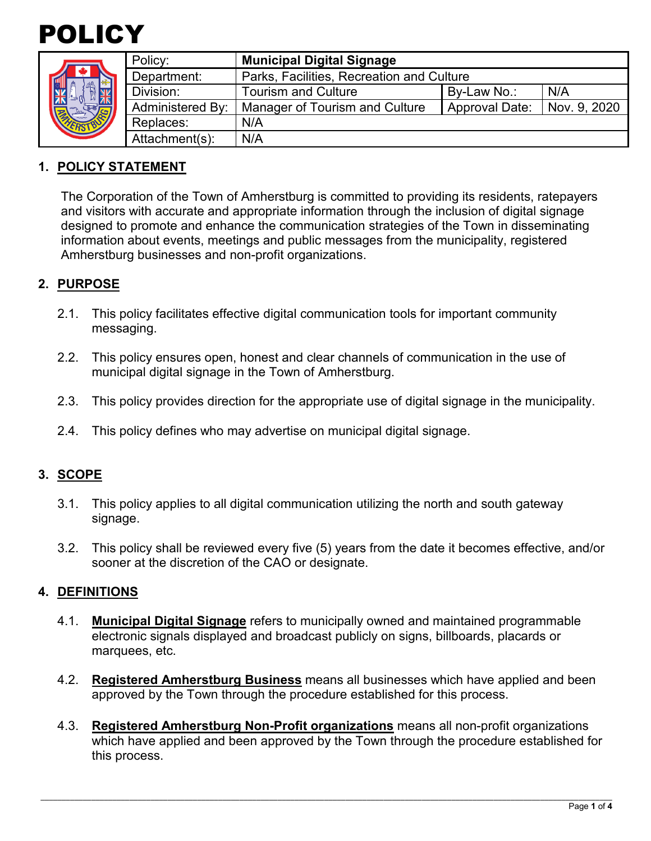



|  | Policy:          | <b>Municipal Digital Signage</b>          |                       |              |
|--|------------------|-------------------------------------------|-----------------------|--------------|
|  | Department:      | Parks, Facilities, Recreation and Culture |                       |              |
|  | Division:        | <b>Tourism and Culture</b>                | By-Law No.:           | N/A          |
|  | Administered By: | Manager of Tourism and Culture            | <b>Approval Date:</b> | Nov. 9, 2020 |
|  | Replaces:        | N/A                                       |                       |              |
|  | Attachment(s):   | N/A                                       |                       |              |

#### **1. POLICY STATEMENT**

The Corporation of the Town of Amherstburg is committed to providing its residents, ratepayers and visitors with accurate and appropriate information through the inclusion of digital signage designed to promote and enhance the communication strategies of the Town in disseminating information about events, meetings and public messages from the municipality, registered Amherstburg businesses and non-profit organizations.

## **2. PURPOSE**

- 2.1. This policy facilitates effective digital communication tools for important community messaging.
- 2.2. This policy ensures open, honest and clear channels of communication in the use of municipal digital signage in the Town of Amherstburg.
- 2.3. This policy provides direction for the appropriate use of digital signage in the municipality.
- 2.4. This policy defines who may advertise on municipal digital signage.

#### **3. SCOPE**

- 3.1. This policy applies to all digital communication utilizing the north and south gateway signage.
- 3.2. This policy shall be reviewed every five (5) years from the date it becomes effective, and/or sooner at the discretion of the CAO or designate.

#### **4. DEFINITIONS**

- 4.1. **Municipal Digital Signage** refers to municipally owned and maintained programmable electronic signals displayed and broadcast publicly on signs, billboards, placards or marquees, etc.
- 4.2. **Registered Amherstburg Business** means all businesses which have applied and been approved by the Town through the procedure established for this process.
- 4.3. **Registered Amherstburg Non-Profit organizations** means all non-profit organizations which have applied and been approved by the Town through the procedure established for this process.

\_\_\_\_\_\_\_\_\_\_\_\_\_\_\_\_\_\_\_\_\_\_\_\_\_\_\_\_\_\_\_\_\_\_\_\_\_\_\_\_\_\_\_\_\_\_\_\_\_\_\_\_\_\_\_\_\_\_\_\_\_\_\_\_\_\_\_\_\_\_\_\_\_\_\_\_\_\_\_\_\_\_\_\_\_\_\_\_\_\_\_\_\_\_\_\_\_\_\_\_\_\_\_\_\_\_\_\_\_\_\_\_\_\_\_\_\_\_\_\_\_\_\_\_\_\_\_\_\_\_\_\_\_\_\_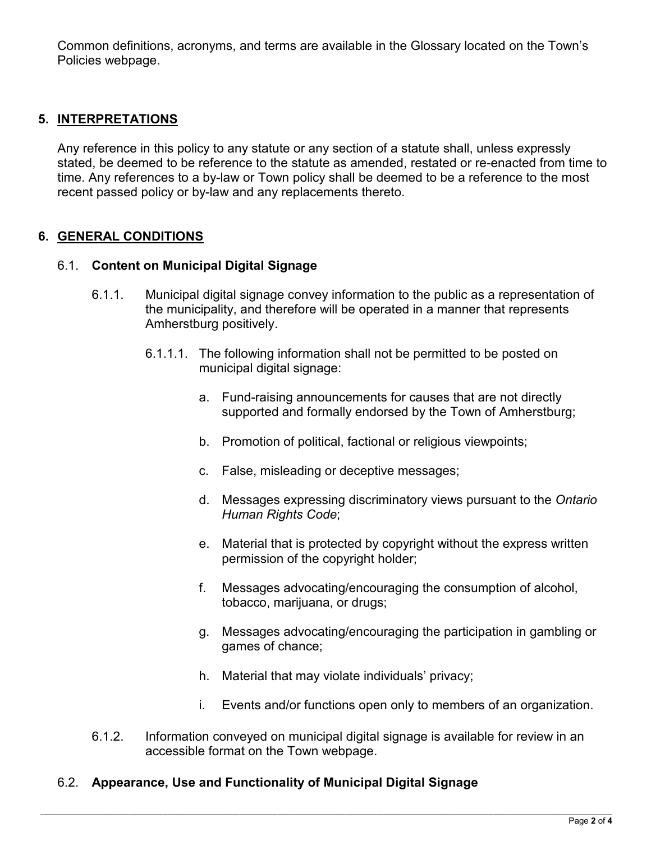Common definitions, acronyms, and terms are available in the Glossary located on the Town's Policies webpage.

## **5. INTERPRETATIONS**

Any reference in this policy to any statute or any section of a statute shall, unless expressly stated, be deemed to be reference to the statute as amended, restated or re-enacted from time to time. Any references to a by-law or Town policy shall be deemed to be a reference to the most recent passed policy or by-law and any replacements thereto.

### **6. GENERAL CONDITIONS**

#### 6.1. **Content on Municipal Digital Signage**

- 6.1.1. Municipal digital signage convey information to the public as a representation of the municipality, and therefore will be operated in a manner that represents Amherstburg positively.
	- 6.1.1.1. The following information shall not be permitted to be posted on municipal digital signage:
		- a. Fund-raising announcements for causes that are not directly supported and formally endorsed by the Town of Amherstburg;
		- b. Promotion of political, factional or religious viewpoints;
		- c. False, misleading or deceptive messages;
		- d. Messages expressing discriminatory views pursuant to the *Ontario Human Rights Code*;
		- e. Material that is protected by copyright without the express written permission of the copyright holder;
		- f. Messages advocating/encouraging the consumption of alcohol, tobacco, marijuana, or drugs;
		- g. Messages advocating/encouraging the participation in gambling or games of chance;
		- h. Material that may violate individuals' privacy;
		- i. Events and/or functions open only to members of an organization.
- 6.1.2. Information conveyed on municipal digital signage is available for review in an accessible format on the Town webpage.

#### 6.2. **Appearance, Use and Functionality of Municipal Digital Signage**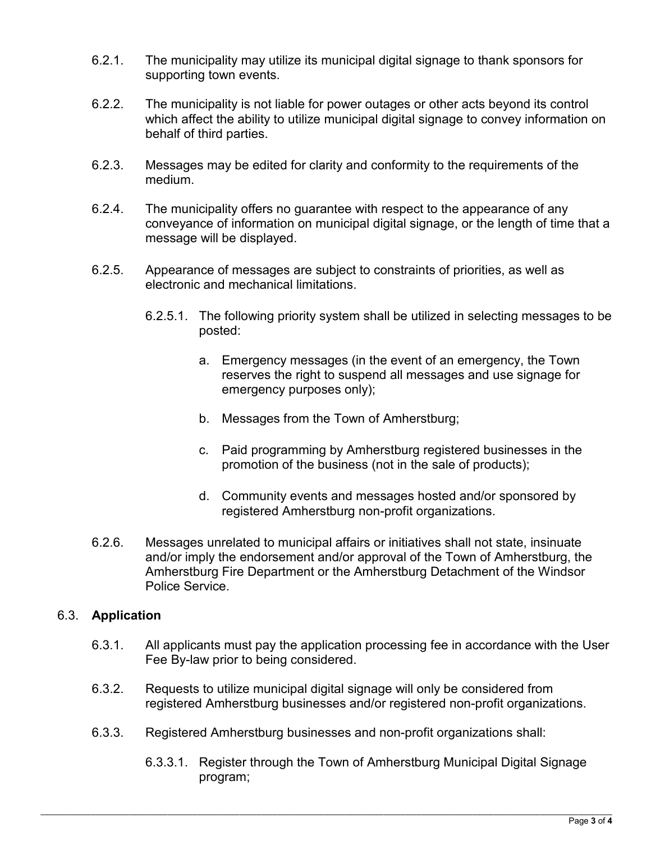- 6.2.1. The municipality may utilize its municipal digital signage to thank sponsors for supporting town events.
- 6.2.2. The municipality is not liable for power outages or other acts beyond its control which affect the ability to utilize municipal digital signage to convey information on behalf of third parties.
- 6.2.3. Messages may be edited for clarity and conformity to the requirements of the medium.
- 6.2.4. The municipality offers no guarantee with respect to the appearance of any conveyance of information on municipal digital signage, or the length of time that a message will be displayed.
- 6.2.5. Appearance of messages are subject to constraints of priorities, as well as electronic and mechanical limitations.
	- 6.2.5.1. The following priority system shall be utilized in selecting messages to be posted:
		- a. Emergency messages (in the event of an emergency, the Town reserves the right to suspend all messages and use signage for emergency purposes only);
		- b. Messages from the Town of Amherstburg;
		- c. Paid programming by Amherstburg registered businesses in the promotion of the business (not in the sale of products);
		- d. Community events and messages hosted and/or sponsored by registered Amherstburg non-profit organizations.
- 6.2.6. Messages unrelated to municipal affairs or initiatives shall not state, insinuate and/or imply the endorsement and/or approval of the Town of Amherstburg, the Amherstburg Fire Department or the Amherstburg Detachment of the Windsor Police Service.

#### 6.3. **Application**

- 6.3.1. All applicants must pay the application processing fee in accordance with the User Fee By-law prior to being considered.
- 6.3.2. Requests to utilize municipal digital signage will only be considered from registered Amherstburg businesses and/or registered non-profit organizations.
- 6.3.3. Registered Amherstburg businesses and non-profit organizations shall:
	- 6.3.3.1. Register through the Town of Amherstburg Municipal Digital Signage program;